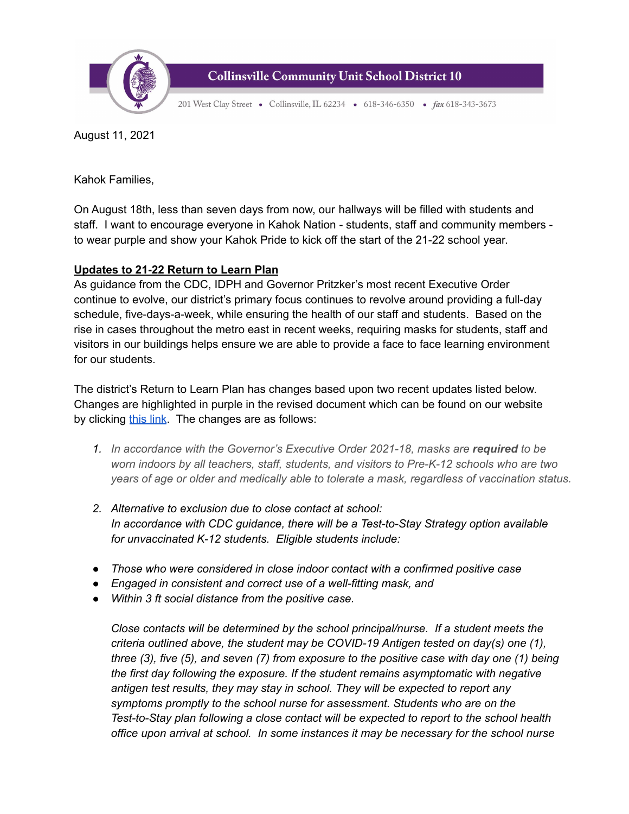

**Collinsville Community Unit School District 10** 

201 West Clay Street • Collinsville, IL 62234 • 618-346-6350 • fax 618-343-3673

August 11, 2021

Kahok Families,

On August 18th, less than seven days from now, our hallways will be filled with students and staff. I want to encourage everyone in Kahok Nation - students, staff and community members to wear purple and show your Kahok Pride to kick off the start of the 21-22 school year.

# **Updates to 21-22 Return to Learn Plan**

As guidance from the CDC, IDPH and Governor Pritzker's most recent Executive Order continue to evolve, our district's primary focus continues to revolve around providing a full-day schedule, five-days-a-week, while ensuring the health of our staff and students. Based on the rise in cases throughout the metro east in recent weeks, requiring masks for students, staff and visitors in our buildings helps ensure we are able to provide a face to face learning environment for our students.

The district's Return to Learn Plan has changes based upon two recent updates listed below. Changes are highlighted in purple in the revised document which can be found on our website by clicking [this](https://www.kahoks.org/2021-22-learning/2021-22-return-to-learn-plan/) link. The changes are as follows:

- *1. In accordance with the Governor's Executive Order 2021-18, masks are required to be worn indoors by all teachers, staff, students, and visitors to Pre-K-12 schools who are two years of age or older and medically able to tolerate a mask, regardless of vaccination status.*
- *2. Alternative to exclusion due to close contact at school: In accordance with CDC guidance, there will be a Test-to-Stay Strategy option available for unvaccinated K-12 students. Eligible students include:*
- *● Those who were considered in close indoor contact with a confirmed positive case*
- *● Engaged in consistent and correct use of a well-fitting mask, and*
- *● Within 3 ft social distance from the positive case.*

*Close contacts will be determined by the school principal/nurse. If a student meets the criteria outlined above, the student may be COVID-19 Antigen tested on day(s) one (1), three (3), five (5), and seven (7) from exposure to the positive case with day one (1) being the first day following the exposure. If the student remains asymptomatic with negative antigen test results, they may stay in school. They will be expected to report any symptoms promptly to the school nurse for assessment. Students who are on the Test-to-Stay plan following a close contact will be expected to report to the school health office upon arrival at school. In some instances it may be necessary for the school nurse*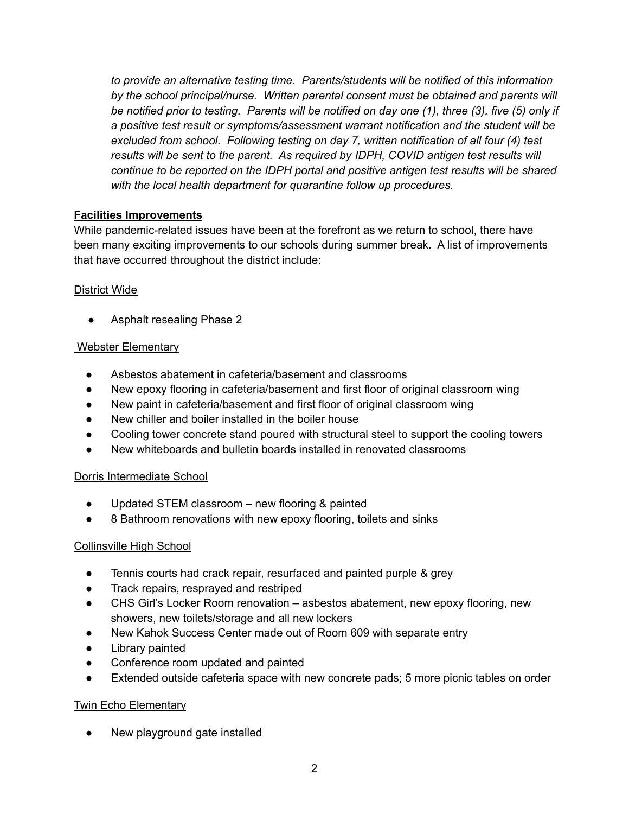*to provide an alternative testing time. Parents/students will be notified of this information by the school principal/nurse. Written parental consent must be obtained and parents will* be notified prior to testing. Parents will be notified on day one (1), three (3), five (5) only if *a positive test result or symptoms/assessment warrant notification and the student will be excluded from school. Following testing on day 7, written notification of all four (4) test results will be sent to the parent. As required by IDPH, COVID antigen test results will continue to be reported on the IDPH portal and positive antigen test results will be shared with the local health department for quarantine follow up procedures.*

# **Facilities Improvements**

While pandemic-related issues have been at the forefront as we return to school, there have been many exciting improvements to our schools during summer break. A list of improvements that have occurred throughout the district include:

## District Wide

Asphalt resealing Phase 2

# Webster Elementary

- Asbestos abatement in cafeteria/basement and classrooms
- New epoxy flooring in cafeteria/basement and first floor of original classroom wing
- New paint in cafeteria/basement and first floor of original classroom wing
- New chiller and boiler installed in the boiler house
- Cooling tower concrete stand poured with structural steel to support the cooling towers
- New whiteboards and bulletin boards installed in renovated classrooms

## Dorris Intermediate School

- Updated STEM classroom new flooring & painted
- 8 Bathroom renovations with new epoxy flooring, toilets and sinks

## Collinsville High School

- Tennis courts had crack repair, resurfaced and painted purple & grey
- Track repairs, resprayed and restriped
- CHS Girl's Locker Room renovation asbestos abatement, new epoxy flooring, new showers, new toilets/storage and all new lockers
- New Kahok Success Center made out of Room 609 with separate entry
- Library painted
- Conference room updated and painted
- Extended outside cafeteria space with new concrete pads; 5 more picnic tables on order

## Twin Echo Elementary

New playground gate installed